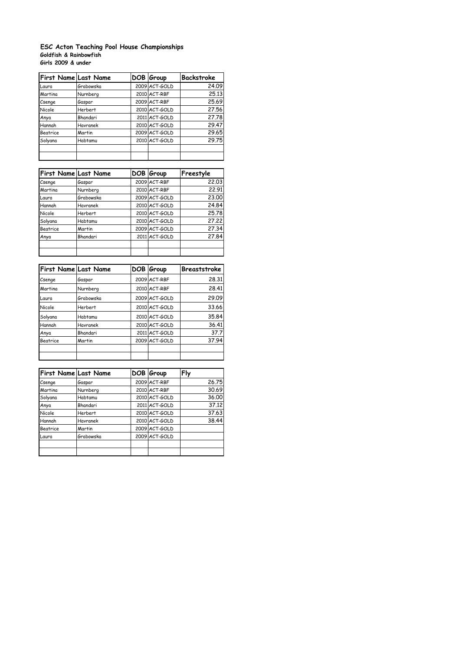## **Goldfish & Rainbowfish Girls 2009 & under ESC Acton Teaching Pool House Championships**

| First Name Last Name |                | DOB Group     | Backstroke |
|----------------------|----------------|---------------|------------|
| Laura                | Grabowska      | 2009 ACT-GOLD | 24.09      |
| Martina              | Nurnberg       | 2010 ACT-RBF  | 25.13      |
| Csenge               | Gaspar         | 2009 ACT-RBF  | 25.69      |
| Nicole               | <b>Herbert</b> | 2010 ACT-GOLD | 27.56      |
| Anya                 | Bhandari       | 2011 ACT-GOLD | 27.78      |
| Hannah               | Havranek       | 2010 ACT-GOLD | 29.47      |
| <b>Beatrice</b>      | Martin         | 2009 ACT-GOLD | 29.65      |
| Solyana              | Habtamu        | 2010 ACT-GOLD | 29.75      |
|                      |                |               |            |
|                      |                |               |            |

| <b>First Name Last Name</b> |                | DOB Group     | Freestyle |
|-----------------------------|----------------|---------------|-----------|
| Csenge                      | Gaspar         | 2009 ACT-RBF  | 22.03     |
| Martina                     | Nurnberg       | 2010 ACT-RBF  | 22.91     |
| Laura                       | Grabowska      | 2009 ACT-GOLD | 23.00     |
| Hannah                      | Havranek       | 2010 ACT-GOLD | 24.84     |
| Nicole                      | <b>Herbert</b> | 2010 ACT-GOLD | 25.78     |
| Solyana                     | Habtamu        | 2010 ACT-GOLD | 27.22     |
| <b>Beatrice</b>             | Martin         | 2009 ACT-GOLD | 27.34     |
| Anya                        | Bhandari       | 2011 ACT-GOLD | 27.84     |
|                             |                |               |           |
|                             |                |               |           |

| <b>First Name Last Name</b> |           | DOB Group     | Breaststroke |
|-----------------------------|-----------|---------------|--------------|
| Csenge                      | Gaspar    | 2009 ACT-RBF  | 28.31        |
| Martina                     | Nurnberg  | 2010 ACT-RBF  | 28.41        |
| Laura                       | Grabowska | 2009 ACT-GOLD | 29.09        |
| <b>Nicole</b>               | Herbert   | 2010 ACT-GOLD | 33.66        |
| Solyana                     | Habtamu   | 2010 ACT-GOLD | 35.84        |
| Hannah                      | Havranek  | 2010 ACT-GOLD | 36.41        |
| Anya                        | Bhandari  | 2011 ACT-GOLD | 37.7         |
| <b>Beatrice</b>             | Martin    | 2009 ACT-GOLD | 37.94        |
|                             |           |               |              |

|          | <b>First Name Last Name</b> | DOB Group     | Fly   |
|----------|-----------------------------|---------------|-------|
| Csenge   | Gaspar                      | 2009 ACT-RBF  | 26.75 |
| Martina  | Nurnberg                    | 2010 ACT-RBF  | 30.69 |
| Solyana  | Habtamu                     | 2010 ACT-GOLD | 36.00 |
| Anya     | Bhandari                    | 2011 ACT-GOLD | 37.12 |
| Nicole   | <b>Herbert</b>              | 2010 ACT-GOLD | 37.63 |
| Hannah   | Havranek                    | 2010 ACT-GOLD | 38.44 |
| Beatrice | Martin                      | 2009 ACT-GOLD |       |
| Laura    | Grabowska                   | 2009 ACT-GOLD |       |
|          |                             |               |       |
|          |                             |               |       |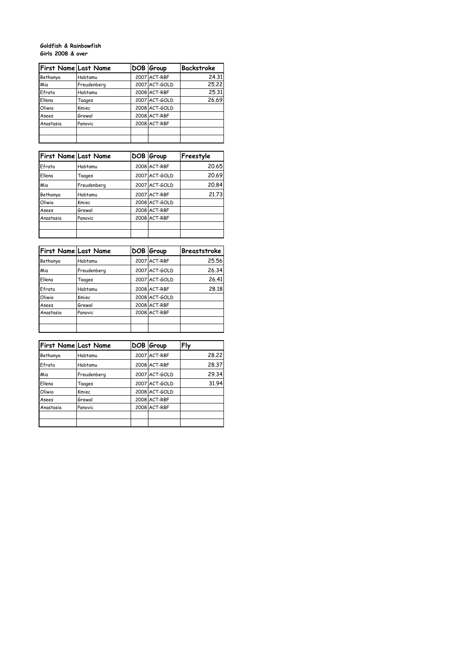## **Goldfish & Rainbowfish Girls 2008 & over**

| <b>First Name Last Name</b> |             | DOB Group     | Backstroke |
|-----------------------------|-------------|---------------|------------|
| Bethanya                    | Habtamu     | 2007 ACT-RBF  | 24.31      |
| Mia                         | Freudenberg | 2007 ACT-GOLD | 25.22      |
| Efrata                      | Habtamu     | 2008 ACT-RBF  | 25.31      |
| Ellena                      | Taages      | 2007 ACT-GOLD | 26.69      |
| Oliwia                      | Kmiec       | 2008 ACT-GOLD |            |
| Asees                       | Grewal      | 2008 ACT-RBF  |            |
| Anastasia                   | Panovic     | 2008 ACT-RBF  |            |
|                             |             |               |            |
|                             |             |               |            |

|           | First Name Last Name | DOB Group     | Freestyle |
|-----------|----------------------|---------------|-----------|
| Efrata    | Habtamu              | 2008 ACT-RBF  | 20.65     |
| Fllena    | Taages               | 2007 ACT-GOLD | 20.69     |
| Mia       | Freudenberg          | 2007 ACT-GOLD | 20.84     |
| Bethanya  | Habtamu              | 2007 ACT-RBF  | 21.73     |
| Oliwia    | Kmiec                | 2008 ACT-GOLD |           |
| Asees     | Grewal               | 2008 ACT-RBF  |           |
| Anastasia | Panovic              | 2008 ACT-RBF  |           |
|           |                      |               |           |
|           |                      |               |           |

| <b>First Name Last Name</b> |             | DOB Group     | Breaststroke |
|-----------------------------|-------------|---------------|--------------|
| Bethanya                    | Habtamu     | 2007 ACT-RBF  | 25.56        |
| Mia                         | Freudenberg | 2007 ACT-GOLD | 26.34        |
| Ellena                      | Taages      | 2007 ACT-GOLD | 26.41        |
| Efrata                      | Habtamu     | 2008 ACT-RBF  | 28.18        |
| Oliwia                      | Kmiec       | 2008 ACT-GOLD |              |
| Asees                       | Grewal      | 2008 ACT-RBF  |              |
| Anastasia                   | Panovic     | 2008 ACT-RBF  |              |
|                             |             |               |              |
|                             |             |               |              |

| <b>First Name Last Name</b> |             | DOB Group     | Fly   |
|-----------------------------|-------------|---------------|-------|
| Bethanya                    | Habtamu     | 2007 ACT-RBF  | 28.22 |
| Efrata                      | Habtamu     | 2008 ACT-RBF  | 28.37 |
| Mia                         | Freudenberg | 2007 ACT-GOLD | 29.34 |
| Fllena                      | Taages      | 2007 ACT-GOLD | 31.94 |
| Oliwia                      | Kmiec       | 2008 ACT-GOLD |       |
| Asees                       | Grewal      | 2008 ACT-RBF  |       |
| Anastasia                   | Panovic     | 2008 ACT-RBF  |       |
|                             |             |               |       |
|                             |             |               |       |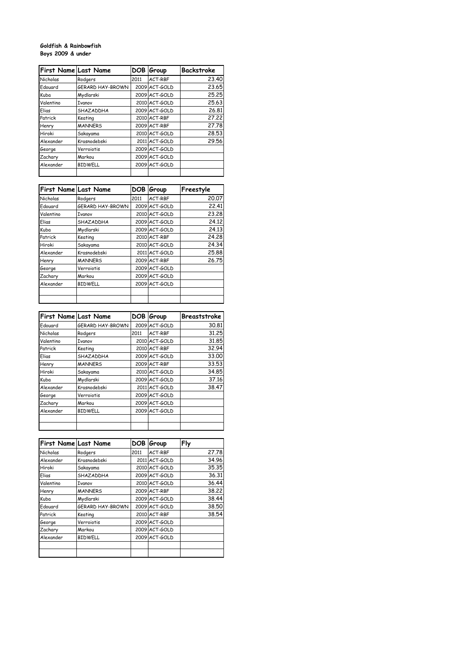## **Goldfish & Rainbowfish Boys 2009 & under**

| First Name Last Name |                  | DOB  | Group         | Backstroke |
|----------------------|------------------|------|---------------|------------|
| Nicholas             | Rodgers          | 2011 | ACT-RBF       | 23.40      |
| Edouard              | GERARD HAY-BROWN |      | 2009 ACT-GOLD | 23.65      |
| Kuba                 | Mydlarski        |      | 2009 ACT-GOLD | 25.25      |
| Valentino            | Ivanov           |      | 2010 ACT-GOLD | 25.63      |
| Elias                | SHAZADDHA        |      | 2009 ACT-GOLD | 26.81      |
| Patrick              | Keating          |      | 2010 ACT-RBF  | 27.22      |
| Henry                | <b>MANNERS</b>   |      | 2009 ACT-RBF  | 27.78      |
| Hiroki               | Sakayama         |      | 2010 ACT-GOLD | 28.53      |
| Alexander            | Krasnodebski     |      | 2011 ACT-GOLD | 29.56      |
| George               | Verroiotis       |      | 2009 ACT-GOLD |            |
| Zachary              | Markou           |      | 2009 ACT-GOLD |            |
| Alexander            | <b>BIDWELL</b>   |      | 2009 ACT-GOLD |            |
|                      |                  |      |               |            |

| First Name Last Name |                  | DOB. | Group         | Freestyle |
|----------------------|------------------|------|---------------|-----------|
| Nicholas             | Rodgers          | 2011 | ACT-RBF       | 20.07     |
| Edouard              | GERARD HAY-BROWN |      | 2009 ACT-GOLD | 22.41     |
| Valentino            | Ivanov           |      | 2010 ACT-GOLD | 23.28     |
| Elias                | SHAZADDHA        |      | 2009 ACT-GOLD | 24.12     |
| Kuba                 | Mydlarski        |      | 2009 ACT-GOLD | 24.13     |
| Patrick              | Keating          |      | 2010 ACT-RBF  | 24.28     |
| Hiroki               | Sakayama         |      | 2010 ACT-GOLD | 24.34     |
| Alexander            | Krasnodebski     |      | 2011 ACT-GOLD | 25.88     |
| Henry                | <b>MANNERS</b>   |      | 2009 ACT-RBF  | 26.75     |
| George               | Verroiotis       |      | 2009 ACT-GOLD |           |
| Zachary              | Markou           |      | 2009 ACT-GOLD |           |
| Alexander            | <b>BIDWELL</b>   |      | 2009 ACT-GOLD |           |
|                      |                  |      |               |           |
|                      |                  |      |               |           |

| First Name Last Name |                         |      | DOB Group     | Breaststroke |
|----------------------|-------------------------|------|---------------|--------------|
| Edouard              | <b>GERARD HAY-BROWN</b> |      | 2009 ACT-GOLD | 30.81        |
| Nicholas             | Rodgers                 | 2011 | ACT-RBF       | 31.25        |
| Valentino            | <b>Ivanov</b>           |      | 2010 ACT-GOLD | 31.85        |
| Patrick              | Keating                 |      | 2010 ACT-RBF  | 32.94        |
| Elias                | SHAZADDHA               |      | 2009 ACT-GOLD | 33.00        |
| Henry                | <b>MANNERS</b>          |      | 2009 ACT-RBF  | 33.53        |
| Hiroki               | Sakayama                |      | 2010 ACT-GOLD | 34.85        |
| Kuba                 | Mydlarski               |      | 2009 ACT-GOLD | 37.16        |
| Alexander            | Krasnodebski            |      | 2011 ACT-GOLD | 38.47        |
| George               | Verroiotis              |      | 2009 ACT-GOLD |              |
| Zachary              | Markou                  |      | 2009 ACT-GOLD |              |
| Alexander            | <b>BIDWELL</b>          |      | 2009 ACT-GOLD |              |
|                      |                         |      |               |              |
|                      |                         |      |               |              |

| First Name Last Name |                         |      | DOB Group     | Fly   |
|----------------------|-------------------------|------|---------------|-------|
| Nicholas             | Rodgers                 | 2011 | ACT-RBF       | 27.78 |
| Alexander            | Krasnodebski            |      | 2011 ACT-GOLD | 34.96 |
| Hiroki               | Sakayama                |      | 2010 ACT-GOLD | 35.35 |
| Elias                | SHAZADDHA               |      | 2009 ACT-GOLD | 36.31 |
| Valentino            | Ivanov                  |      | 2010 ACT-GOLD | 36.44 |
| Henry                | <b>MANNERS</b>          |      | 2009 ACT-RBF  | 38.22 |
| Kuba                 | Mydlarski               |      | 2009 ACT-GOLD | 38.44 |
| Edouard              | <b>GERARD HAY-BROWN</b> |      | 2009 ACT-GOLD | 38.50 |
| Patrick              | Keating                 |      | 2010 ACT-RBF  | 38.54 |
| George               | Verroiotis              |      | 2009 ACT-GOLD |       |
| Zachary              | Markou                  |      | 2009 ACT-GOLD |       |
| Alexander            | <b>BIDWELL</b>          |      | 2009 ACT-GOLD |       |
|                      |                         |      |               |       |
|                      |                         |      |               |       |